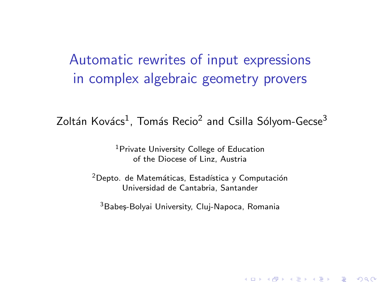Automatic rewrites of input expressions in complex algebraic geometry provers

Zoltán Kovács<sup>1</sup>, Tomás Recio<sup>2</sup> and Csilla Sólyom-Gecse<sup>3</sup>

<sup>1</sup> Private University College of Education of the Diocese of Linz, Austria

 $2$ Depto. de Matemáticas, Estadística y Computación Universidad de Cantabria, Santander

<sup>3</sup>Babeș-Bolyai University, Cluj-Napoca, Romania

**KORK ERKER ADE YOUR**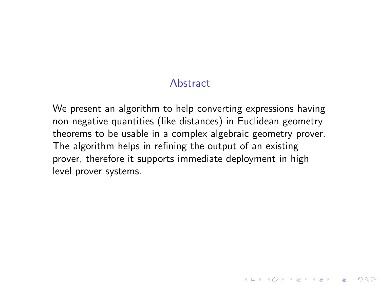#### Abstract

We present an algorithm to help converting expressions having non-negative quantities (like distances) in Euclidean geometry theorems to be usable in a complex algebraic geometry prover. The algorithm helps in refining the output of an existing prover, therefore it supports immediate deployment in high level prover systems.

**KORKA SERKER ORA**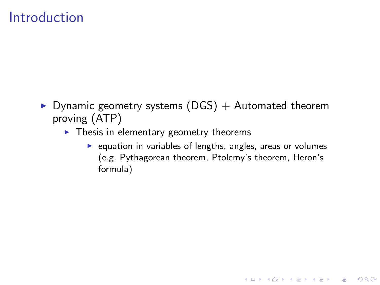#### Introduction

- $\triangleright$  Dynamic geometry systems (DGS) + Automated theorem proving (ATP)
	- $\blacktriangleright$  Thesis in elementary geometry theorems
		- $\blacktriangleright$  equation in variables of lengths, angles, areas or volumes (e.g. Pythagorean theorem, Ptolemy's theorem, Heron's formula)

**KORKA SERKER ORA**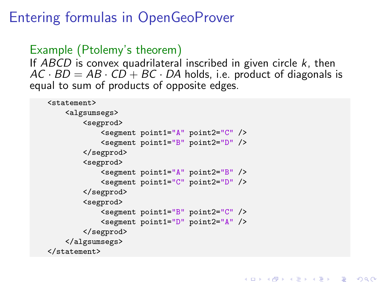## Entering formulas in OpenGeoProver

```
Example (Ptolemy's theorem)
```
If ABCD is convex quadrilateral inscribed in given circle  $k$ , then  $AC \cdot BD = AB \cdot CD + BC \cdot DA$  holds, i.e. product of diagonals is equal to sum of products of opposite edges.

**KORK ERKER ER AGA** 

```
<statement>
    <algsumsegs>
        <segprod>
            <segment point1="A" point2="C" />
            <segment point1="B" point2="D" />
        </segprod>
        <segprod>
            <segment point1="A" point2="B" />
            <segment point1="C" point2="D" />
        </segprod>
        <segprod>
            <segment point1="B" point2="C" />
            <segment point1="D" point2="A" />
        </segprod>
    </algsumsegs>
</statement>
```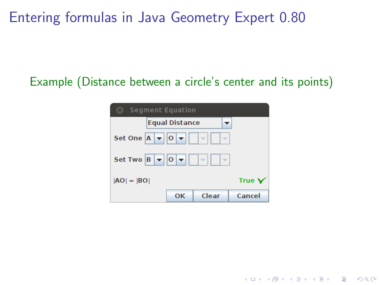Entering formulas in Java Geometry Expert 0.80

#### Example (Distance between a circle's center and its points)

| <b>Segment Equation</b><br>$\mathbf{x}$                                             |        |
|-------------------------------------------------------------------------------------|--------|
| <b>Equal Distance</b>                                                               |        |
| Set One $A \times 0 \times$<br>$\overline{\phantom{a}}$<br>$\overline{\phantom{a}}$ |        |
| Set Two $B \nightharpoonup  0 \nightharpoonup $<br>l v<br>$\overline{\phantom{a}}$  |        |
| $ AO  =  BO $                                                                       | True Y |
| Clear<br>OK                                                                         | Cancel |

K ロ ▶ K @ ▶ K 할 ▶ K 할 ▶ | 할 | ⊙Q @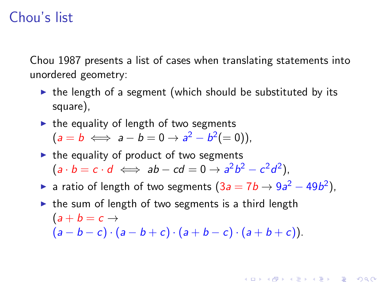## Chou's list

Chou 1987 presents a list of cases when translating statements into unordered geometry:

- $\triangleright$  the length of a segment (which should be substituted by its square),
- $\triangleright$  the equality of length of two segments

 $(a = b \iff a - b = 0 \to a^2 - b^2 (= 0)),$ 

- $\triangleright$  the equality of product of two segments  $(a \cdot b = c \cdot d \iff ab - cd = 0 \rightarrow a^2b^2 - c^2d^2),$
- ► a ratio of length of two segments  $(3a = 7b \rightarrow 9a^2 49b^2)$ ,

**KORK ERKER ADE YOUR** 

 $\triangleright$  the sum of length of two segments is a third length  $(a + b = c \rightarrow$  $(a - b - c) \cdot (a - b + c) \cdot (a + b - c) \cdot (a + b + c)$ .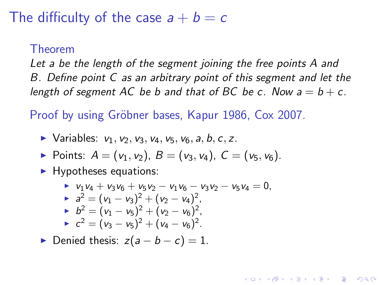#### The difficulty of the case  $a + b = c$

#### Theorem

Let a be the length of the segment joining the free points A and B. Define point C as an arbitrary point of this segment and let the length of segment AC be b and that of BC be c. Now  $a = b + c$ .

Proof by using Gröbner bases, Kapur 1986, Cox 2007.

- $\triangleright$  Variables:  $v_1, v_2, v_3, v_4, v_5, v_6, a, b, c, z$ .
- Points:  $A = (v_1, v_2)$ ,  $B = (v_3, v_4)$ ,  $C = (v_5, v_6)$ .
- $\blacktriangleright$  Hypotheses equations:

$$
v_1v_4 + v_3v_6 + v_5v_2 - v_1v_6 - v_3v_2 - v_5v_4 = 0,
$$
  
\n
$$
a^2 = (v_1 - v_3)^2 + (v_2 - v_4)^2,
$$
  
\n
$$
b^2 = (v_1 - v_5)^2 + (v_2 - v_6)^2,
$$
  
\n
$$
c^2 = (v_3 - v_5)^2 + (v_4 - v_6)^2.
$$

**KORK ERKER ADE YOUR** 

Denied thesis:  $z(a - b - c) = 1$ .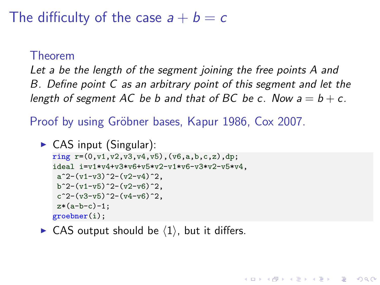#### The difficulty of the case  $a + b = c$

#### Theorem

Let a be the length of the segment joining the free points A and B. Define point C as an arbitrary point of this segment and let the length of segment AC be b and that of BC be c. Now  $a = b + c$ .

**KORK ERKER ADE YOUR** 

Proof by using Gröbner bases, Kapur 1986, Cox 2007.

```
\triangleright CAS input (Singular):
  ring r=(0, v1, v2, v3, v4, v5), (v6, a, b, c, z), dp;
   ideal i=v1*v4+v3*v6+v5*v2-v1*v6-v3*v2-v5*v4,
    a^2-(v1-v3)^2-(v2-v4)^2.
   b^2-(v1-v5)^2-(v2-v6)^2.
    c^2-(v3-v5)^2-(v4-v6)^2.
    z*(a-b-c)-1;groebner(i);
```
 $\triangleright$  CAS output should be  $\langle 1 \rangle$ , but it differs.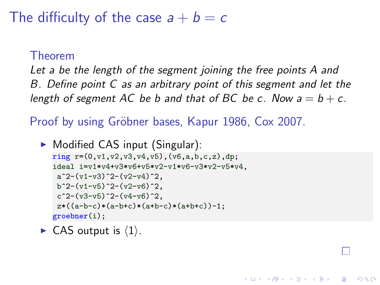#### The difficulty of the case  $a + b = c$

#### Theorem

Let a be the length of the segment joining the free points A and B. Define point C as an arbitrary point of this segment and let the length of segment AC be b and that of BC be c. Now  $a = b + c$ .

**KORK STRAIN A BAR SHOP** 

Proof by using Gröbner bases, Kapur 1986, Cox 2007.

```
\triangleright Modified CAS input (Singular):
  ring r=(0, v1, v2, v3, v4, v5), (v6, a, b, c, z), dp;
   ideal i=v1*v4+v3*v6+v5*v2-v1*v6-v3*v2-v5*v4,
    a^2-(v1-v3)^2-(v2-v4)^2.
   b^2-(v1-v5)^2-(v2-v6)^2.
    c^2-(v3-v5)^2-(v4-v6)^2.
    z*((a-b-c)*(a-b+c)*(a+b-c)*(a+b+c))-1;groebner(i);
```
 $\blacktriangleright$  CAS output is  $\langle 1 \rangle$ .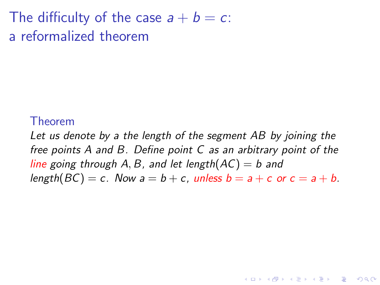The difficulty of the case  $a + b = c$ : a reformalized theorem

#### Theorem

Let us denote by a the length of the segment AB by joining the free points A and B. Define point C as an arbitrary point of the line going through A, B, and let length( $AC$ ) = b and length(BC) = c. Now  $a = b + c$ , unless  $b = a + c$  or  $c = a + b$ .

**KORK ERKER ADE YOUR**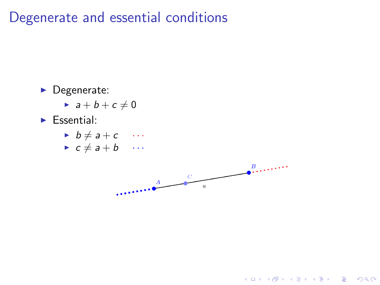#### Degenerate and essential conditions

- $\blacktriangleright$  Degenerate:
	- $\rightarrow a + b + c \neq 0$
- $\blacktriangleright$  Essential:
	- $\rightarrow b \neq a + c \cdots$
	- $\rightarrow c \neq a + b$  ...



K ロ ▶ K @ ▶ K 할 > K 할 > 1 할 > 1 이익어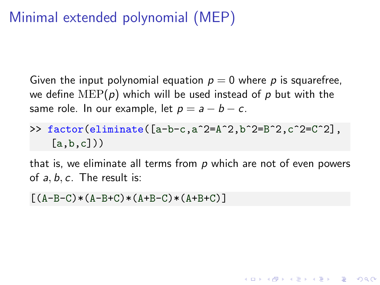# Minimal extended polynomial (MEP)

Given the input polynomial equation  $p = 0$  where p is squarefree, we define  $\text{MEP}(p)$  which will be used instead of p but with the same role. In our example, let  $p = a - b - c$ .

#### >> factor(eliminate( $[a-b-c,a^2=A^2,b^2=B^2,c^2=C^2]$ ,  $[a,b,c])$

that is, we eliminate all terms from  $p$  which are not of even powers of  $a, b, c$ . The result is:

**KORK ERKER ADE YOUR** 

 $[(A-B-C)*(A-B+C)*(A+B-C)*(A+B+C)]$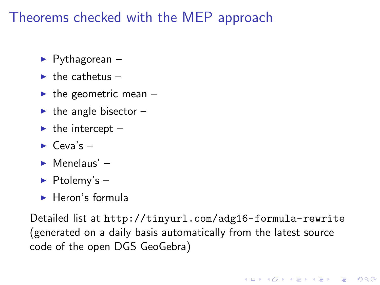## Theorems checked with the MEP approach

- $\blacktriangleright$  Pythagorean –
- $\blacktriangleright$  the cathetus –
- $\blacktriangleright$  the geometric mean –
- $\blacktriangleright$  the angle bisector –
- $\blacktriangleright$  the intercept –
- $\blacktriangleright$  Ceva's –
- $\blacktriangleright$  Menelaus' –
- $\blacktriangleright$  Ptolemy's -
- $\blacktriangleright$  Heron's formula

Detailed list at <http://tinyurl.com/adg16-formula-rewrite> (generated on a daily basis automatically from the latest source code of the open DGS GeoGebra)

**KORK ERKER ADE YOUR**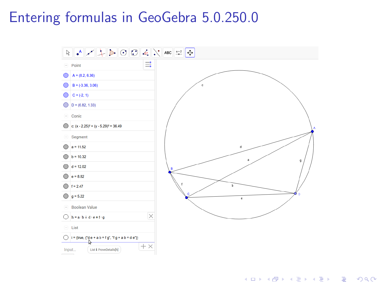#### Entering formulas in GeoGebra 5.0.250.0



K ロ > K @ > K 할 > K 할 > 1 할 : ⊙ Q Q^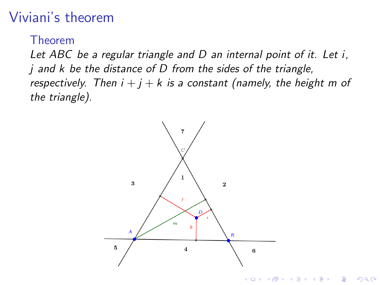# Viviani's theorem

Theorem

Let ABC be a regular triangle and D an internal point of it. Let i, i and k be the distance of D from the sides of the triangle, respectively. Then  $i + j + k$  is a constant (namely, the height m of the triangle).

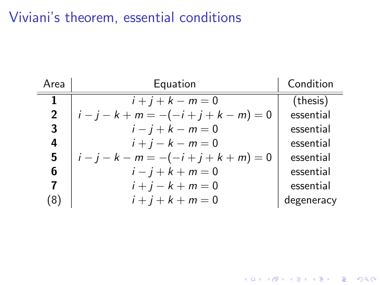## Viviani's theorem, essential conditions

| Area           | Equation                                | Condition  |
|----------------|-----------------------------------------|------------|
| 1              | $i + j + k - m = 0$                     | (thesis)   |
| $\overline{2}$ | $i - j - k + m = -(-i + j + k - m) = 0$ | essential  |
| 3              | $i - j + k - m = 0$                     | essential  |
| 4              | $i + j - k - m = 0$                     | essential  |
| 5              | $i - j - k - m = -(-i + j + k + m) = 0$ | essential  |
| 6              | $i - j + k + m = 0$                     | essential  |
| 7              | $i + j - k + m = 0$                     | essential  |
| 8)             | $i + j + k + m = 0$                     | degeneracy |

K ロ X K 메 X K B X X B X X D X O Q Q O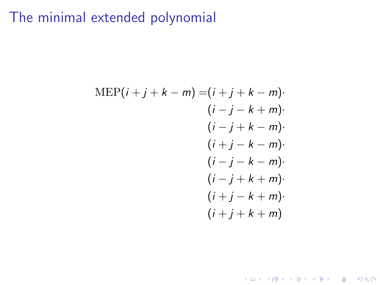## The minimal extended polynomial

$$
MEP(i + j + k - m) = (i + j + k - m) \cdot (i - j - k + m) \cdot (i - j + k - m) \cdot (i + j - k - m) \cdot (i - j - k - m) \cdot (i - j + k + m) \cdot (i + j - k + m) \cdot (i + j + k + m)
$$

K ロ X K 메 X K B X X B X X D X O Q Q O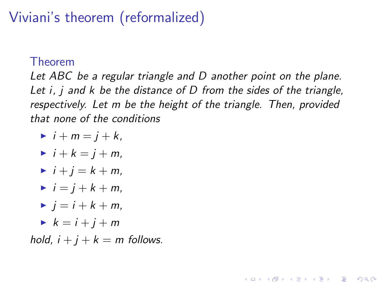# Viviani's theorem (reformalized)

#### Theorem

Let ABC be a regular triangle and D another point on the plane. Let *i*, *j* and *k* be the distance of D from the sides of the triangle, respectively. Let m be the height of the triangle. Then, provided that none of the conditions

**KORK ERKER ADE YOUR** 

- $\blacktriangleright$  i + m = j + k,
- $\blacktriangleright$  i + k = i + m.
- $\blacktriangleright$   $i + i = k + m$ .
- $\blacktriangleright$  i = i + k + m,
- $\blacktriangleright$   $i = i + k + m$ .
- $\blacktriangleright k = i + i + m$

hold,  $i + j + k = m$  follows.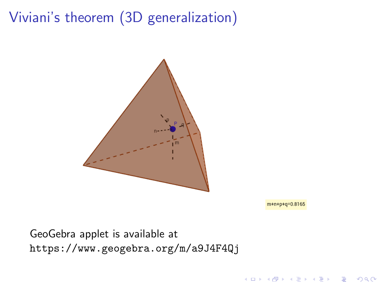# Viviani's theorem (3D generalization)



 $m+n+p+q=0.816$ 

 $\left\{ \begin{array}{ccc} \pm & \pm & \pm \end{array} \right.$ 

 $\bar{\Xi}$ 

 $299$ 

GeoGebra applet is available at <https://www.geogebra.org/m/a9J4F4Qj>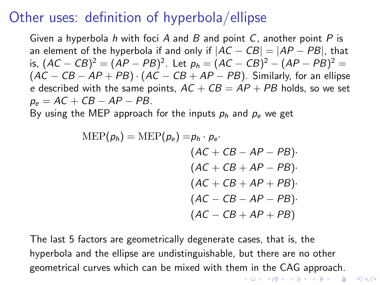#### Other uses: definition of hyperbola/ellipse

Given a hyperbola h with foci A and B and point C, another point  $P$  is an element of the hyperbola if and only if  $|AC - CB| = |AP - PB|$ , that is,  $(AC - CB)^2 = (AP - PB)^2$ . Let  $p_h = (AC - CB)^2 - (AP - PB)^2 =$  $(AC - CB - AP + PB) \cdot (AC - CB + AP - PB)$ . Similarly, for an ellipse e described with the same points,  $AC + CB = AP + PB$  holds, so we set  $p_e = AC + CB - AP - PB$ .

By using the MEP approach for the inputs  $p_h$  and  $p_e$  we get

$$
MEP(p_h) = MEP(p_e) = p_h \cdot p_e.
$$
  
\n
$$
(AC + CB - AP - PB) \cdot (AC + CB + AP - PB) \cdot (AC + CB + AP + PB) \cdot (AC - CB - AP - PB) \cdot (AC - CB + AP + PB)
$$

The last 5 factors are geometrically degenerate cases, that is, the hyperbola and the ellipse are undistinguishable, but there are no other geometrical curves which can be mixed with them in the CAG approach.**KORK ERKER ADE YOUR**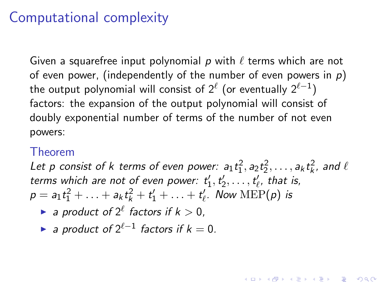#### Computational complexity

Given a squarefree input polynomial p with  $\ell$  terms which are not of even power, (independently of the number of even powers in  $p$ ) the output polynomial will consist of  $2^\ell$  (or eventually  $2^{\ell-1})$ factors: the expansion of the output polynomial will consist of doubly exponential number of terms of the number of not even powers:

#### Theorem

Let p consist of k terms of even power:  $a_1t_1^2$ ,  $a_2t_2^2$ ,...,  $a_kt_k^2$ , and  $\ell$ terms which are not of even power:  $t'_1, t'_2, \ldots, t'_\ell$ , that is,  $p = a_1 t_1^2 + \ldots + a_k t_k^2 + t_1' + \ldots + t_{\ell}'$ . Now  $\text{MEP}(p)$  is

**KORKAR KERKER EL VOLO** 

- a product of  $2^{\ell}$  factors if  $k > 0$ ,
- ► a product of  $2^{\ell-1}$  factors if  $k = 0$ .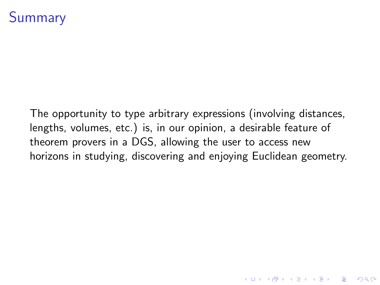## **Summary**

The opportunity to type arbitrary expressions (involving distances, lengths, volumes, etc.) is, in our opinion, a desirable feature of theorem provers in a DGS, allowing the user to access new horizons in studying, discovering and enjoying Euclidean geometry.

**KORKA SERKER ORA**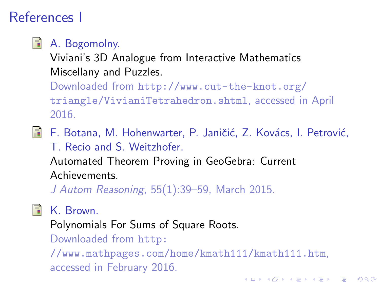# References I

- F
- A. Bogomolny.

Viviani's 3D Analogue from Interactive Mathematics Miscellany and Puzzles.

Downloaded from [http://www.cut-the-knot.org/](http://www.cut-the-knot.org/triangle/VivianiTetrahedron.shtml) [triangle/VivianiTetrahedron.shtml](http://www.cut-the-knot.org/triangle/VivianiTetrahedron.shtml), accessed in April 2016.

F. Botana, M. Hohenwarter, P. Janičić, Z. Kovács, I. Petrović, T. Recio and S. Weitzhofer.

Automated Theorem Proving in GeoGebra: Current Achievements.

J Autom Reasoning, 55(1):39–59, March 2015.



K. Brown.

Polynomials For Sums of Square Roots.

Downloaded from [http:](http://www.mathpages.com/home/kmath111/kmath111.htm)

[//www.mathpages.com/home/kmath111/kmath111.htm](http://www.mathpages.com/home/kmath111/kmath111.htm), accessed in February 2016.**K ロ ▶ K @ ▶ K 할 X X 할 X → 할 X → 9 Q Q ^**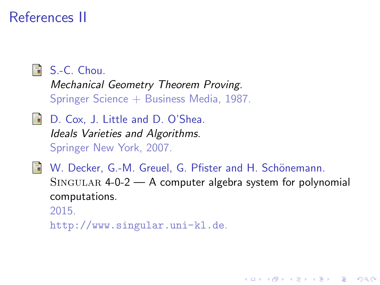## References II



**B** S.-C. Chou.

Mechanical Geometry Theorem Proving. Springer Science + Business Media, 1987.

- D. Cox, J. Little and D. O'Shea. Ideals Varieties and Algorithms. Springer New York, 2007.
- 量 W. Decker, G.-M. Greuel, G. Pfister and H. Schönemann.  $SINGULAR$  4-0-2  $- A$  computer algebra system for polynomial computations. 2015.

**KORK ERKER ADE YOUR** 

<http://www.singular.uni-kl.de>.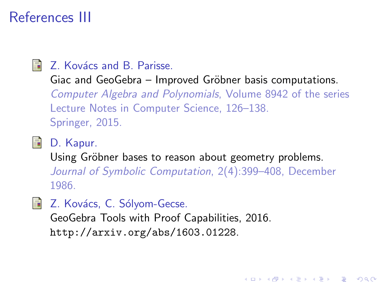## References III

 $\blacksquare$  Z. Kovács and B. Parisse.

Giac and GeoGebra – Improved Gröbner basis computations.

Computer Algebra and Polynomials, Volume 8942 of the series Lecture Notes in Computer Science, 126–138. Springer, 2015.

**D.** Kapur.

Using Gröbner bases to reason about geometry problems. Journal of Symbolic Computation, 2(4):399–408, December 1986.

**KORK ERKER ADE YOUR** 

**Z.** Kovács, C. Sólyom-Gecse.

GeoGebra Tools with Proof Capabilities, 2016. <http://arxiv.org/abs/1603.01228>.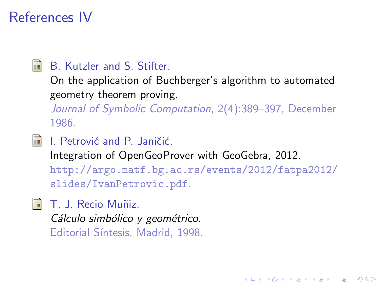## References IV

譶

#### B. Kutzler and S. Stifter.

On the application of Buchberger's algorithm to automated geometry theorem proving.

Journal of Symbolic Computation, 2(4):389–397, December 1986.

F I. Petrović and P. Janičić.

Integration of OpenGeoProver with GeoGebra, 2012.

[http://argo.matf.bg.ac.rs/events/2012/fatpa2012/](http://argo.matf.bg.ac.rs/events/2012/fatpa2012/slides/IvanPetrovic.pdf) [slides/IvanPetrovic.pdf](http://argo.matf.bg.ac.rs/events/2012/fatpa2012/slides/IvanPetrovic.pdf).

**KORK ERKER ADE YOUR** 

 $\blacksquare$  T. J. Recio Muñiz. Cálculo simbólico y geométrico. Editorial Síntesis. Madrid, 1998.